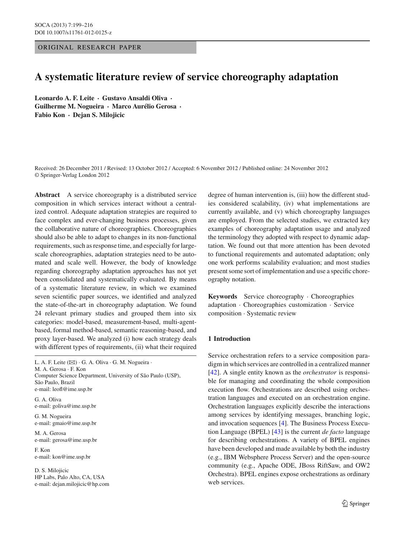## ORIGINAL RESEARCH PAPER

# **A systematic literature review of service choreography adaptation**

**Leonardo A. F. Leite · Gustavo Ansaldi Oliva · Guilherme M. Nogueira · Marco Aurélio Gerosa · Fabio Kon · Dejan S. Milojicic**

Received: 26 December 2011 / Revised: 13 October 2012 / Accepted: 6 November 2012 / Published online: 24 November 2012 © Springer-Verlag London 2012

**Abstract** A service choreography is a distributed service composition in which services interact without a centralized control. Adequate adaptation strategies are required to face complex and ever-changing business processes, given the collaborative nature of choreographies. Choreographies should also be able to adapt to changes in its non-functional requirements, such as response time, and especially for largescale choreographies, adaptation strategies need to be automated and scale well. However, the body of knowledge regarding choreography adaptation approaches has not yet been consolidated and systematically evaluated. By means of a systematic literature review, in which we examined seven scientific paper sources, we identified and analyzed the state-of-the-art in choreography adaptation. We found 24 relevant primary studies and grouped them into six categories: model-based, measurement-based, multi-agentbased, formal method-based, semantic reasoning-based, and proxy layer-based. We analyzed (i) how each strategy deals with different types of requirements, (ii) what their required

L. A. F. Leite (⊠) · G. A. Oliva · G. M. Nogueira · M. A. Gerosa · F. Kon Computer Science Department, University of São Paulo (USP), São Paulo, Brazil e-mail: leofl@ime.usp.br

G. A. Oliva e-mail: goliva@ime.usp.br

G. M. Nogueira e-mail: gmaio@ime.usp.br

M. A. Gerosa e-mail: gerosa@ime.usp.br

F. Kon e-mail: kon@ime.usp.br

D. S. Milojicic HP Labs, Palo Alto, CA, USA e-mail: dejan.milojicic@hp.com degree of human intervention is, (iii) how the different studies considered scalability, (iv) what implementations are currently available, and (v) which choreography languages are employed. From the selected studies, we extracted key examples of choreography adaptation usage and analyzed the terminology they adopted with respect to dynamic adaptation. We found out that more attention has been devoted to functional requirements and automated adaptation; only one work performs scalability evaluation; and most studies present some sort of implementation and use a specific choreography notation.

**Keywords** Service choreography · Choreographies adaptation · Choreographies customization · Service composition · Systematic review

# **1 Introduction**

Service orchestration refers to a service composition paradigm in which services are controlled in a centralized manner [\[42](#page-16-0)]. A single entity known as the *orchestrator* is responsible for managing and coordinating the whole composition execution flow. Orchestrations are described using orchestration languages and executed on an orchestration engine. Orchestration languages explicitly describe the interactions among services by identifying messages, branching logic, and invocation sequences [\[4\]](#page-15-0). The Business Process Execution Language (BPEL) [\[43](#page-16-1)] is the current *de facto* language for describing orchestrations. A variety of BPEL engines have been developed and made available by both the industry (e.g., IBM Websphere Process Server) and the open-source community (e.g., Apache ODE, JBoss RiftSaw, and OW2 Orchestra). BPEL engines expose orchestrations as ordinary web services.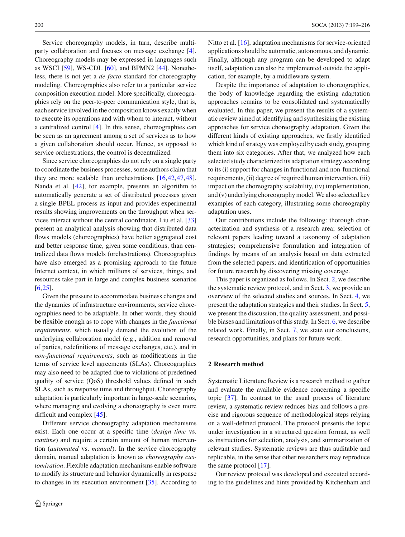Service choreography models, in turn, describe multiparty collaboration and focuses on message exchange [\[4](#page-15-0)]. Choreography models may be expressed in languages such as WSCI [\[59\]](#page-17-0), WS-CDL [\[60](#page-17-1)], and BPMN2 [\[44](#page-16-2)]. Nonetheless, there is not yet a *de facto* standard for choreography modeling. Choreographies also refer to a particular service composition execution model. More specifically, choreographies rely on the peer-to-peer communication style, that is, each service involved in the composition knows exactly when to execute its operations and with whom to interact, without a centralized control [\[4\]](#page-15-0). In this sense, choreographies can be seen as an agreement among a set of services as to how a given collaboration should occur. Hence, as opposed to service orchestrations, the control is decentralized.

Since service choreographies do not rely on a single party to coordinate the business processes, some authors claim that they are more scalable than orchestrations [\[16,](#page-15-1)[42](#page-16-0)[,47](#page-16-3)[,48](#page-16-4)]. Nanda et al. [\[42](#page-16-0)], for example, presents an algorithm to automatically generate a set of distributed processes given a single BPEL process as input and provides experimental results showing improvements on the throughput when services interact without the central coordinator. Liu et al. [\[33\]](#page-16-5) present an analytical analysis showing that distributed data flows models (choreographies) have better aggregated cost and better response time, given some conditions, than centralized data flows models (orchestrations). Choreographies have also emerged as a promising approach to the future Internet context, in which millions of services, things, and resources take part in large and complex business scenarios [\[6](#page-15-2),[25\]](#page-16-6).

Given the pressure to accommodate business changes and the dynamics of infrastructure environments, service choreographies need to be adaptable. In other words, they should be flexible enough as to cope with changes in the *functional requirements*, which usually demand the evolution of the underlying collaboration model (e.g., addition and removal of parties, redefinitions of message exchanges, etc.), and in *non-functional requirements*, such as modifications in the terms of service level agreements (SLAs). Choreographies may also need to be adapted due to violations of predefined quality of service (QoS) threshold values defined in such SLAs, such as response time and throughput. Choreography adaptation is particularly important in large-scale scenarios, where managing and evolving a choreography is even more difficult and complex [\[45\]](#page-16-7).

Different service choreography adaptation mechanisms exist. Each one occur at a specific time (*design time* vs. *runtime*) and require a certain amount of human intervention (*automated* vs. *manual*). In the service choreography domain, manual adaptation is known as *choreography customization*. Flexible adaptation mechanisms enable software to modify its structure and behavior dynamically in response to changes in its execution environment [\[35\]](#page-16-8). According to Nitto et al. [\[16](#page-15-1)], adaptation mechanisms for service-oriented applications should be automatic, autonomous, and dynamic. Finally, although any program can be developed to adapt itself, adaptation can also be implemented outside the application, for example, by a middleware system.

Despite the importance of adaptation to choreographies, the body of knowledge regarding the existing adaptation approaches remains to be consolidated and systematically evaluated. In this paper, we present the results of a systematic review aimed at identifying and synthesizing the existing approaches for service choreography adaptation. Given the different kinds of existing approaches, we firstly identified which kind of strategy was employed by each study, grouping them into six categories. After that, we analyzed how each selected study characterized its adaptation strategy according to its (i) support for changes in functional and non-functional requirements, (ii) degree of required human intervention, (iii) impact on the choreography scalability, (iv) implementation, and (v) underlying choreography model. We also selected key examples of each category, illustrating some choreography adaptation uses.

Our contributions include the following: thorough characterization and synthesis of a research area; selection of relevant papers leading toward a taxonomy of adaptation strategies; comprehensive formulation and integration of findings by means of an analysis based on data extracted from the selected papers; and identification of opportunities for future research by discovering missing coverage.

This paper is organized as follows. In Sect. [2,](#page-1-0) we describe the systematic review protocol, and in Sect. [3,](#page-3-0) we provide an overview of the selected studies and sources. In Sect. [4,](#page-4-0) we present the adaptation strategies and their studies. In Sect. [5,](#page-11-0) we present the discussion, the quality assessment, and possible biases and limitations of this study. In Sect. [6,](#page-13-0) we describe related work. Finally, in Sect. [7,](#page-14-0) we state our conclusions, research opportunities, and plans for future work.

#### <span id="page-1-0"></span>**2 Research method**

Systematic Literature Review is a research method to gather and evaluate the available evidence concerning a specific topic [\[37](#page-16-9)]. In contrast to the usual process of literature review, a systematic review reduces bias and follows a precise and rigorous sequence of methodological steps relying on a well-defined protocol. The protocol presents the topic under investigation in a structured question format, as well as instructions for selection, analysis, and summarization of relevant studies. Systematic reviews are thus auditable and replicable, in the sense that other researchers may reproduce the same protocol [\[17\]](#page-15-3).

Our review protocol was developed and executed according to the guidelines and hints provided by Kitchenham and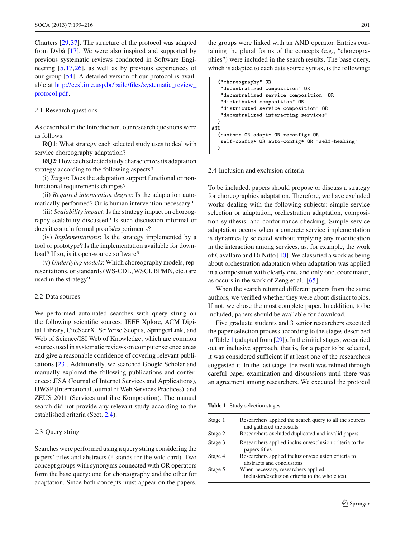Charters [\[29](#page-16-10)[,37](#page-16-9)]. The structure of the protocol was adapted from Dybå [\[17\]](#page-15-3). We were also inspired and supported by previous systematic reviews conducted in Software Engineering [\[5,](#page-15-4)[17](#page-15-3)[,26](#page-16-11)], as well as by previous experiences of our group [\[54](#page-16-12)]. A detailed version of our protocol is available at [http://ccsl.ime.usp.br/baile/files/systematic\\_review\\_](http://ccsl.ime.usp.br/baile/files/systematic_review_protocol.pdf) [protocol.pdf.](http://ccsl.ime.usp.br/baile/files/systematic_review_protocol.pdf)

## 2.1 Research questions

As described in the Introduction, our research questions were as follows:

**RQ1**: What strategy each selected study uses to deal with service choreography adaptation?

**RQ2**: How each selected study characterizes its adaptation strategy according to the following aspects?

(i) *Target*: Does the adaptation support functional or nonfunctional requirements changes?

(ii) *Required intervention degree*: Is the adaptation automatically performed? Or is human intervention necessary?

(iii) *Scalability impact*: Is the strategy impact on choreography scalability discussed? Is such discussion informal or does it contain formal proofs/experiments?

(iv) *Implementations*: Is the strategy implemented by a tool or prototype? Is the implementation available for download? If so, is it open-source software?

(v) *Underlying models*: Which choreography models, representations, or standards (WS-CDL, WSCI, BPMN, etc.) are used in the strategy?

#### 2.2 Data sources

We performed automated searches with query string on the following scientific sources: IEEE Xplore, ACM Digital Library, CiteSeerX, SciVerse Scopus, SpringerLink, and Web of Science/ISI Web of Knowledge, which are common sources used in systematic reviews on computer science areas and give a reasonable confidence of covering relevant publications [\[23](#page-16-13)]. Additionally, we searched Google Scholar and manually explored the following publications and conferences: JISA (Journal of Internet Services and Applications), IJWSP (International Journal of Web Services Practices), and ZEUS 2011 (Services und ihre Komposition). The manual search did not provide any relevant study according to the established criteria (Sect. [2.4\)](#page-2-0).

## 2.3 Query string

Searches were performed using a query string considering the papers' titles and abstracts (\* stands for the wild card). Two concept groups with synonyms connected with OR operators form the base query: one for choreography and the other for adaptation. Since both concepts must appear on the papers,

the groups were linked with an AND operator. Entries containing the plural forms of the concepts (e.g., "choreographies") were included in the search results. The base query, which is adapted to each data source syntax, is the following:

```
("choreography" OR
   "decentralized composition" OR
   "decentralized service composition" OR
   "distributed composition" OR
   "distributed service composition" OR
   "decentralized interacting services"
AND
  (custom* OR adapt* OR reconfig* OR
   self-config* OR auto-config* OR "self-healing"
  \lambda
```
#### <span id="page-2-0"></span>2.4 Inclusion and exclusion criteria

To be included, papers should propose or discuss a strategy for choreographies adaptation. Therefore, we have excluded works dealing with the following subjects: simple service selection or adaptation, orchestration adaptation, composition synthesis, and conformance checking. Simple service adaptation occurs when a concrete service implementation is dynamically selected without implying any modification in the interaction among services, as, for example, the work of Cavallaro and Di Nitto [\[10\]](#page-15-5). We classified a work as being about orchestration adaptation when adaptation was applied in a composition with clearly one, and only one, coordinator, as occurs in the work of Zeng et al. [\[65\]](#page-17-2).

When the search returned different papers from the same authors, we verified whether they were about distinct topics. If not, we chose the most complete paper. In addition, to be included, papers should be available for download.

Five graduate students and 3 senior researchers executed the paper selection process according to the stages described in Table [1](#page-2-1) (adapted from [\[29\]](#page-16-10)). In the initial stages, we carried out an inclusive approach, that is, for a paper to be selected, it was considered sufficient if at least one of the researchers suggested it. In the last stage, the result was refined through careful paper examination and discussions until there was an agreement among researchers. We executed the protocol

**Table 1** Study selection stages

<span id="page-2-1"></span>

| Stage 1 | Researchers applied the search query to all the sources<br>and gathered the results   |
|---------|---------------------------------------------------------------------------------------|
| Stage 2 | Researchers excluded duplicated and invalid papers                                    |
| Stage 3 | Researchers applied inclusion/exclusion criteria to the<br>papers titles              |
| Stage 4 | Researchers applied inclusion/exclusion criteria to<br>abstracts and conclusions      |
| Stage 5 | When necessary, researchers applied<br>inclusion/exclusion criteria to the whole text |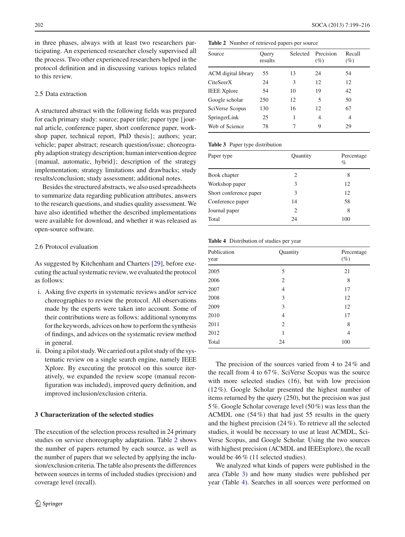in three phases, always with at least two researchers participating. An experienced researcher closely supervised all the process. Two other experienced researchers helped in the protocol definition and in discussing various topics related to this review.

# 2.5 Data extraction

A structured abstract with the following fields was prepared for each primary study: source; paper title; paper type {journal article, conference paper, short conference paper, workshop paper, technical report, PhD thesis}; authors; year; vehicle; paper abstract; research question/issue; choreography adaption strategy description; human intervention degree {manual, automatic, hybrid}; description of the strategy implementation; strategy limitations and drawbacks; study results/conclusion; study assessment; additional notes.

Besides the structured abstracts, we also used spreadsheets to summarize data regarding publication attributes, answers to the research questions, and studies quality assessment. We have also identified whether the described implementations were available for download, and whether it was released as open-source software.

#### 2.6 Protocol evaluation

As suggested by Kitchenham and Charters [\[29](#page-16-10)], before executing the actual systematic review, we evaluated the protocol as follows:

- i. Asking five experts in systematic reviews and/or service choreographies to review the protocol. All observations made by the experts were taken into account. Some of their contributions were as follows: additional synonyms for the keywords, advices on how to perform the synthesis of findings, and advices on the systematic review method in general.
- ii. Doing a pilot study. We carried out a pilot study of the systematic review on a single search engine, namely IEEE Xplore. By executing the protocol on this source iteratively, we expanded the review scope (manual reconfiguration was included), improved query definition, and improved inclusion/exclusion criteria.

# <span id="page-3-0"></span>**3 Characterization of the selected studies**

The execution of the selection process resulted in 24 primary studies on service choreography adaptation. Table [2](#page-3-1) shows the number of papers returned by each source, as well as the number of papers that we selected by applying the inclusion/exclusion criteria. The table also presents the differences between sources in terms of included studies (precision) and coverage level (recall).

## **Table 2** Number of retrieved papers per source

<span id="page-3-1"></span>

| Source              | Query<br>results | <b>Selected</b> | Precision<br>(%) | Recall<br>$(\%)$ |
|---------------------|------------------|-----------------|------------------|------------------|
| ACM digital library | 55               | 13              | 24               | 54               |
| <b>CiteSeerX</b>    | 24               | 3               | 12               | 12               |
| <b>IEEE</b> Xplore  | 54               | 10              | 19               | 42               |
| Google scholar      | 250              | 12              | 5                | 50               |
| SciVerse Scopus     | 130              | 16              | 12               | 67               |
| SpringerLink        | 25               | 1               | 4                | 4                |
| Web of Science      | 78               | 7               | 9                | 29               |

## <span id="page-3-2"></span>**Table 3** Paper type distribution

| Paper type             | Quantity       | Percentage<br>% |
|------------------------|----------------|-----------------|
| Book chapter           | 2              | 8               |
| Workshop paper         | 3              | 12              |
| Short conference paper | 3              | 12              |
| Conference paper       | 14             | 58              |
| Journal paper          | $\overline{c}$ | 8               |
| Total                  | 24             | 100             |
|                        |                |                 |

| Table 4 Distribution of studies per year |  |  |
|------------------------------------------|--|--|
|------------------------------------------|--|--|

<span id="page-3-3"></span>

| Publication<br>year | Quantity       | Percentage<br>$(\%)$ |
|---------------------|----------------|----------------------|
| 2005                | 5              | 21                   |
| 2006                | $\mathfrak{2}$ | 8                    |
| 2007                | $\overline{4}$ | 17                   |
| 2008                | 3              | 12                   |
| 2009                | 3              | 12                   |
| 2010                | $\overline{4}$ | 17                   |
| 2011                | $\mathfrak{2}$ | 8                    |
| 2012                | 1              | 4                    |
| Total               | 24             | 100                  |

The precision of the sources varied from 4 to 24 % and the recall from 4 to 67 %. SciVerse Scopus was the source with more selected studies (16), but with low precision (12 %). Google Scholar presented the highest number of items returned by the query (250), but the precision was just 5 %. Google Scholar coverage level (50 %) was less than the ACMDL one (54 %) that had just 55 results in the query and the highest precision (24 %). To retrieve all the selected studies, it would be necessary to use at least ACMDL, Sci-Verse Scopus, and Google Scholar. Using the two sources with highest precision (ACMDL and IEEExplore), the recall would be 46 % (11 selected studies).

We analyzed what kinds of papers were published in the area (Table [3\)](#page-3-2) and how many studies were published per year (Table [4\)](#page-3-3). Searches in all sources were performed on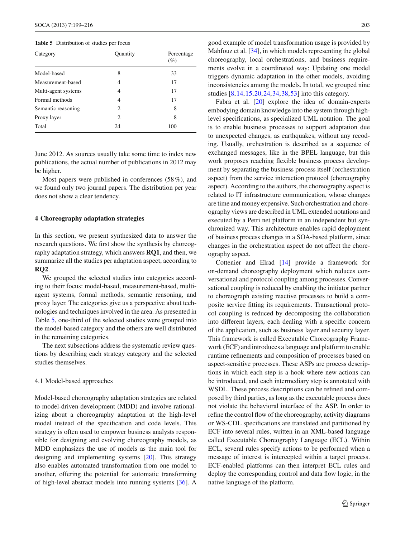**Table 5** Distribution of studies per focus

<span id="page-4-1"></span>

| Category            | Quantity                    | Percentage<br>$(\%)$ |
|---------------------|-----------------------------|----------------------|
| Model-based         | 8                           | 33                   |
| Measurement-based   | 4                           | 17                   |
| Multi-agent systems | 4                           | 17                   |
| Formal methods      | 4                           | 17                   |
| Semantic reasoning  | $\mathcal{D}_{\mathcal{L}}$ | 8                    |
| Proxy layer         | 2                           | 8                    |
| Total               | 24                          | 100                  |

June 2012. As sources usually take some time to index new publications, the actual number of publications in 2012 may be higher.

Most papers were published in conferences (58 %), and we found only two journal papers. The distribution per year does not show a clear tendency.

## <span id="page-4-0"></span>**4 Choreography adaptation strategies**

In this section, we present synthesized data to answer the research questions. We first show the synthesis by choreography adaptation strategy, which answers **RQ1**, and then, we summarize all the studies per adaptation aspect, according to **RQ2**.

We grouped the selected studies into categories according to their focus: model-based, measurement-based, multiagent systems, formal methods, semantic reasoning, and proxy layer. The categories give us a perspective about technologies and techniques involved in the area. As presented in Table [5,](#page-4-1) one-third of the selected studies were grouped into the model-based category and the others are well distributed in the remaining categories.

The next subsections address the systematic review questions by describing each strategy category and the selected studies themselves.

#### 4.1 Model-based approaches

Model-based choreography adaptation strategies are related to model-driven development (MDD) and involve rationalizing about a choreography adaptation at the high-level model instead of the specification and code levels. This strategy is often used to empower business analysts responsible for designing and evolving choreography models, as MDD emphasizes the use of models as the main tool for designing and implementing systems [\[20](#page-16-14)]. This strategy also enables automated transformation from one model to another, offering the potential for automatic transforming of high-level abstract models into running systems [\[36\]](#page-16-15). A

good example of model transformation usage is provided by Mahfouz et al. [\[34\]](#page-16-16), in which models representing the global choreography, local orchestrations, and business requirements evolve in a coordinated way: Updating one model triggers dynamic adaptation in the other models, avoiding inconsistencies among the models. In total, we grouped nine studies [\[8,](#page-15-6)[14](#page-15-7)[,15](#page-15-8)[,20](#page-16-14),[24,](#page-16-17)[34](#page-16-16)[,38](#page-16-18)[,53](#page-16-19)] into this category.

Fabra et al. [\[20\]](#page-16-14) explore the idea of domain-experts embodying domain knowledge into the system through highlevel specifications, as specialized UML notation. The goal is to enable business processes to support adaptation due to unexpected changes, as earthquakes, without any recoding. Usually, orchestration is described as a sequence of exchanged messages, like in the BPEL language, but this work proposes reaching flexible business process development by separating the business process itself (orchestration aspect) from the service interaction protocol (choreography aspect). According to the authors, the choreography aspect is related to IT infrastructure communication, whose changes are time and money expensive. Such orchestration and choreography views are described in UML extended notations and executed by a Petri net platform in an independent but synchronized way. This architecture enables rapid deployment of business process changes in a SOA-based platform, since changes in the orchestration aspect do not affect the choreography aspect.

Cottenier and Elrad [\[14](#page-15-7)] provide a framework for on-demand choreography deployment which reduces conversational and protocol coupling among processes. Conversational coupling is reduced by enabling the initiator partner to choreograph existing reactive processes to build a composite service fitting its requirements. Transactional protocol coupling is reduced by decomposing the collaboration into different layers, each dealing with a specific concern of the application, such as business layer and security layer. This framework is called Executable Choreography Framework (ECF) and introduces a language and platform to enable runtime refinements and composition of processes based on aspect-sensitive processes. These ASPs are process descriptions in which each step is a hook where new actions can be introduced, and each intermediary step is annotated with WSDL. These process descriptions can be refined and composed by third parties, as long as the executable process does not violate the behavioral interface of the ASP. In order to refine the control flow of the choreography, activity diagrams or WS-CDL specifications are translated and partitioned by ECF into several rules, written in an XML-based language called Executable Choreography Language (ECL). Within ECL, several rules specify actions to be performed when a message of interest is intercepted within a target process. ECF-enabled platforms can then interpret ECL rules and deploy the corresponding control and data flow logic, in the native language of the platform.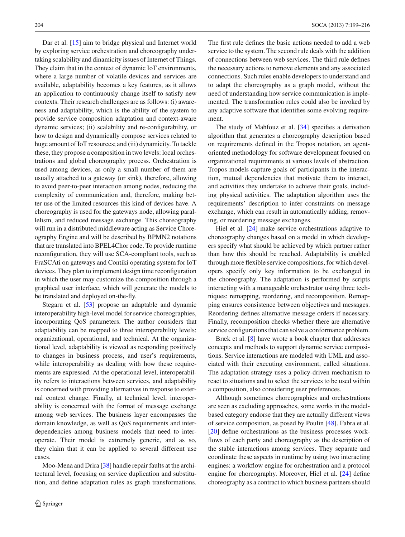Dar et al. [\[15](#page-15-8)] aim to bridge physical and Internet world by exploring service orchestration and choreography undertaking scalability and dinamicity issues of Internet of Things. They claim that in the context of dynamic IoT environments, where a large number of volatile devices and services are available, adaptability becomes a key features, as it allows an application to continuously change itself to satisfy new contexts. Their research challenges are as follows: (i) awareness and adaptability, which is the ability of the system to provide service composition adaptation and context-aware dynamic services; (ii) scalability and re-configurability, or how to design and dynamically compose services related to huge amount of IoT resources; and (iii) dynamicity. To tackle these, they propose a composition in two levels: local orchestrations and global choreography process. Orchestration is used among devices, as only a small number of them are usually attached to a gateway (or sink), therefore, allowing to avoid peer-to-peer interaction among nodes, reducing the complexity of communication and, therefore, making better use of the limited resources this kind of devices have. A choreography is used for the gateways node, allowing parallelism, and reduced message exchange. This choreography will run in a distributed middleware acting as Service Choreography Engine and will be described by BPMN2 notations that are translated into BPEL4Chor code. To provide runtime reconfiguration, they will use SCA-compliant tools, such as FraSCAti on gateways and Contiki operating system for IoT devices. They plan to implement design time reconfiguration in which the user may customize the composition through a graphical user interface, which will generate the models to be translated and deployed on-the-fly.

Stegaru et al. [\[53\]](#page-16-19) propose an adaptable and dynamic interoperability high-level model for service choreographies, incorporating QoS parameters. The author considers that adaptability can be mapped to three interoperability levels: organizational, operational, and technical. At the organizational level, adaptability is viewed as responding positively to changes in business process, and user's requirements, while interoperability as dealing with how these requirements are expressed. At the operational level, interoperability refers to interactions between services, and adaptability is concerned with providing alternatives in response to external context change. Finally, at technical level, interoperability is concerned with the format of message exchange among web services. The business layer encompasses the domain knowledge, as well as QoS requirements and interdependencies among business models that need to interoperate. Their model is extremely generic, and as so, they claim that it can be applied to several different use cases.

Moo-Mena and Drira [\[38](#page-16-18)] handle repair faults at the architectural level, focusing on service duplication and substitution, and define adaptation rules as graph transformations.

The first rule defines the basic actions needed to add a web service to the system. The second rule deals with the addition of connections between web services. The third rule defines the necessary actions to remove elements and any associated connections. Such rules enable developers to understand and to adapt the choreography as a graph model, without the need of understanding how service communication is implemented. The transformation rules could also be invoked by any adaptive software that identifies some evolving requirement.

The study of Mahfouz et al. [\[34](#page-16-16)] specifies a derivation algorithm that generates a choreography description based on requirements defined in the Tropos notation, an agentoriented methodology for software development focused on organizational requirements at various levels of abstraction. Tropos models capture goals of participants in the interaction, mutual dependencies that motivate them to interact, and activities they undertake to achieve their goals, including physical activities. The adaptation algorithm uses the requirements' description to infer constraints on message exchange, which can result in automatically adding, removing, or reordering message exchanges.

Hiel et al. [\[24\]](#page-16-17) make service orchestrations adaptive to choreography changes based on a model in which developers specify what should be achieved by which partner rather than how this should be reached. Adaptability is enabled through more flexible service compositions, for which developers specify only key information to be exchanged in the choreography. The adaptation is performed by scripts interacting with a manageable orchestrator using three techniques: remapping, reordering, and recomposition. Remapping ensures consistence between objectives and messages. Reordering defines alternative message orders if necessary. Finally, recomposition checks whether there are alternative service configurations that can solve a conformance problem.

Bræk et al. [\[8\]](#page-15-6) have wrote a book chapter that addresses concepts and methods to support dynamic service compositions. Service interactions are modeled with UML and associated with their executing environment, called situations. The adaptation strategy uses a policy-driven mechanism to react to situations and to select the services to be used within a composition, also considering user preferences.

Although sometimes choreographies and orchestrations are seen as excluding approaches, some works in the modelbased category endorse that they are actually different views of service composition, as posed by Poulin [\[48\]](#page-16-4). Fabra et al. [\[20](#page-16-14)] define orchestrations as the business processes workflows of each party and choreography as the description of the stable interactions among services. They separate and coordinate these aspects in runtime by using two interacting engines: a workflow engine for orchestration and a protocol engine for choreography. Moreover, Hiel et al. [\[24](#page-16-17)] define choreography as a contract to which business partners should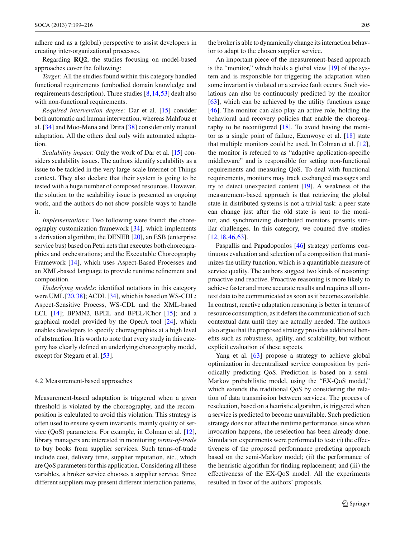adhere and as a (global) perspective to assist developers in creating inter-organizational processes.

Regarding **RQ2**, the studies focusing on model-based approaches cover the following:

*Target:* All the studies found within this category handled functional requirements (embodied domain knowledge and requirements description). Three studies  $[8,14,53]$  $[8,14,53]$  $[8,14,53]$  $[8,14,53]$  dealt also with non-functional requirements.

*Required intervention degree:* Dar et al. [\[15\]](#page-15-8) consider both automatic and human intervention, whereas Mahfouz et al. [\[34](#page-16-16)] and Moo-Mena and Drira [\[38](#page-16-18)] consider only manual adaptation. All the others deal only with automated adaptation.

*Scalability impact*: Only the work of Dar et al. [\[15](#page-15-8)] considers scalability issues. The authors identify scalability as a issue to be tackled in the very large-scale Internet of Things context. They also declare that their system is going to be tested with a huge number of composed resources. However, the solution to the scalability issue is presented as ongoing work, and the authors do not show possible ways to handle it.

*Implementations:* Two following were found: the choreography customization framework [\[34\]](#page-16-16), which implements a derivation algorithm; the DENEB [\[20](#page-16-14)], an ESB (enterprise service bus) based on Petri nets that executes both choreographies and orchestrations; and the Executable Choreography Framework [\[14\]](#page-15-7), which uses Aspect-Based Processes and an XML-based language to provide runtime refinement and composition.

*Underlying models*: identified notations in this category were UML [\[20](#page-16-14)[,38](#page-16-18)]; ACDL [\[34](#page-16-16)], which is based on WS-CDL; Aspect-Sensitive Process, WS-CDL and the XML-based ECL [\[14\]](#page-15-7); BPMN2, BPEL and BPEL4Chor [\[15\]](#page-15-8); and a graphical model provided by the OperA tool [\[24\]](#page-16-17), which enables developers to specify choreographies at a high level of abstraction. It is worth to note that every study in this category has clearly defined an underlying choreography model, except for Stegaru et al. [\[53](#page-16-19)].

#### 4.2 Measurement-based approaches

Measurement-based adaptation is triggered when a given threshold is violated by the choreography, and the recomposition is calculated to avoid this violation. This strategy is often used to ensure system invariants, mainly quality of service (QoS) parameters. For example, in Colman et al. [\[12](#page-15-9)], library managers are interested in monitoring *terms-of-trade* to buy books from supplier services. Such terms-of-trade include cost, delivery time, supplier reputation, etc., which are QoS parameters for this application. Considering all these variables, a broker service chooses a supplier service. Since different suppliers may present different interaction patterns,

the broker is able to dynamically change its interaction behavior to adapt to the chosen supplier service.

An important piece of the measurement-based approach is the "monitor," which holds a global view [\[19](#page-16-20)] of the system and is responsible for triggering the adaptation when some invariant is violated or a service fault occurs. Such violations can also be continuously predicted by the monitor [\[63](#page-17-3)], which can be achieved by the utility functions usage [\[46](#page-16-21)]. The monitor can also play an active role, holding the behavioral and recovery policies that enable the choreography to be reconfigured  $[18]$ . To avoid having the monitor as a single point of failure, Ezenwoye et al. [\[18](#page-15-10)] state that multiple monitors could be used. In Colman et al. [\[12](#page-15-9)], the monitor is referred to as "adaptive application-specific middleware" and is responsible for setting non-functional requirements and measuring QoS. To deal with functional requirements, monitors may track exchanged messages and try to detect unexpected content [\[19\]](#page-16-20). A weakness of the measurement-based approach is that retrieving the global state in distributed systems is not a trivial task: a peer state can change just after the old state is sent to the monitor, and synchronizing distributed monitors presents similar challenges. In this category, we counted five studies [\[12](#page-15-9),[18,](#page-15-10)[46](#page-16-21)[,63](#page-17-3)].

Paspallis and Papadopoulos [\[46](#page-16-21)] strategy performs continuous evaluation and selection of a composition that maximizes the utility function, which is a quantifiable measure of service quality. The authors suggest two kinds of reasoning: proactive and reactive. Proactive reasoning is more likely to achieve faster and more accurate results and requires all context data to be communicated as soon as it becomes available. In contrast, reactive adaptation reasoning is better in terms of resource consumption, as it defers the communication of such contextual data until they are actually needed. The authors also argue that the proposed strategy provides additional benefits such as robustness, agility, and scalability, but without explicit evaluation of these aspects.

Yang et al. [\[63](#page-17-3)] propose a strategy to achieve global optimization in decentralized service composition by periodically predicting QoS. Prediction is based on a semi-Markov probabilistic model, using the "EX-QoS model," which extends the traditional QoS by considering the relation of data transmission between services. The process of reselection, based on a heuristic algorithm, is triggered when a service is predicted to become unavailable. Such prediction strategy does not affect the runtime performance, since when invocation happens, the reselection has been already done. Simulation experiments were performed to test: (i) the effectiveness of the proposed performance predicting approach based on the semi-Markov model; (ii) the performance of the heuristic algorithm for finding replacement; and (iii) the effectiveness of the EX-QoS model. All the experiments resulted in favor of the authors' proposals.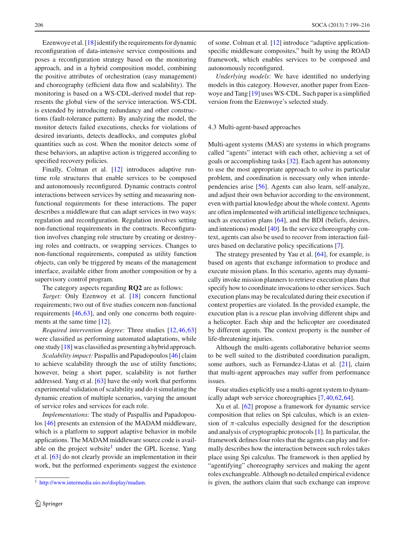Ezenwoye et al. [\[18](#page-15-10)] identify the requirements for dynamic reconfiguration of data-intensive service compositions and poses a reconfiguration strategy based on the monitoring approach, and in a hybrid composition model, combining the positive attributes of orchestration (easy management) and choreography (efficient data flow and scalability). The monitoring is based on a WS-CDL-derived model that represents the global view of the service interaction. WS-CDL is extended by introducing redundancy and other constructions (fault-tolerance pattern). By analyzing the model, the monitor detects failed executions, checks for violations of desired invariants, detects deadlocks, and computes global quantities such as cost. When the monitor detects some of these behaviors, an adaptive action is triggered according to specified recovery policies.

Finally, Colman et al. [\[12](#page-15-9)] introduces adaptive runtime role structures that enable services to be composed and autonomously reconfigured. Dynamic contracts control interactions between services by setting and measuring nonfunctional requirements for these interactions. The paper describes a middleware that can adapt services in two ways: regulation and reconfiguration. Regulation involves setting non-functional requirements in the contracts. Reconfiguration involves changing role structure by creating or destroying roles and contracts, or swapping services. Changes to non-functional requirements, computed as utility function objects, can only be triggered by means of the management interface, available either from another composition or by a supervisory control program.

The category aspects regarding **RQ2** are as follows:

*Target:* Only Ezenwoy et al. [\[18\]](#page-15-10) concern functional requirements; two out of five studies concern non-functional requirements [\[46,](#page-16-21)[63\]](#page-17-3), and only one concerns both requirements at the same time [\[12](#page-15-9)].

*Required intervention degree:* Three studies [\[12](#page-15-9),[46,](#page-16-21)[63\]](#page-17-3) were classified as performing automated adaptations, while one study [\[18](#page-15-10)] was classified as presenting a hybrid approach.

*Scalability impact:* Paspallis and Papadopoulos [\[46](#page-16-21)] claim to achieve scalability through the use of utility functions; however, being a short paper, scalability is not further addressed. Yang et al. [\[63\]](#page-17-3) have the only work that performs experimental validation of scalability and do it simulating the dynamic creation of multiple scenarios, varying the amount of service roles and services for each role.

*Implementations:* The study of Paspallis and Papadopoulos [\[46\]](#page-16-21) presents an extension of the MADAM middleware, which is a platform to support adaptive behavior in mobile applications. The MADAM middleware source code is avail-able on the project website<sup>[1](#page-7-0)</sup> under the GPL license. Yang et al. [\[63](#page-17-3)] do not clearly provide an implementation in their work, but the performed experiments suggest the existence of some. Colman et al. [\[12](#page-15-9)] introduce "adaptive applicationspecific middleware composites," built by using the ROAD framework, which enables services to be composed and autonomously reconfigured.

*Underlying models*: We have identified no underlying models in this category. However, another paper from Ezenwoye and Tang [\[19](#page-16-20)] uses WS-CDL. Such paper is a simplified version from the Ezenwoye's selected study.

#### 4.3 Multi-agent-based approaches

Multi-agent systems (MAS) are systems in which programs called "agents" interact with each other, achieving a set of goals or accomplishing tasks [\[32](#page-16-22)]. Each agent has autonomy to use the most appropriate approach to solve its particular problem, and coordination is necessary only when interdependencies arise [\[56\]](#page-16-23). Agents can also learn, self-analyze, and adjust their own behavior according to the environment, even with partial knowledge about the whole context. Agents are often implemented with artificial intelligence techniques, such as execution plans [\[64](#page-17-4)], and the BDI (beliefs, desires, and intentions) model [\[40](#page-16-24)]. In the service choreography context, agents can also be used to recover from interaction failures based on declarative policy specifications [\[7\]](#page-15-11).

The strategy presented by Yau et al. [\[64](#page-17-4)], for example, is based on agents that exchange information to produce and execute mission plans. In this scenario, agents may dynamically invoke mission planners to retrieve execution plans that specify how to coordinate invocations to other services. Such execution plans may be recalculated during their execution if context properties are violated. In the provided example, the execution plan is a rescue plan involving different ships and a helicopter. Each ship and the helicopter are coordinated by different agents. The context property is the number of life-threatening injuries.

Although the multi-agents collaborative behavior seems to be well suited to the distributed coordination paradigm, some authors, such as Fernandez-Llatas et al. [\[21](#page-16-25)], claim that multi-agent approaches may suffer from performance issues.

Four studies explicitly use a multi-agent system to dynamically adapt web service choreographies [\[7](#page-15-11),[40,](#page-16-24)[62,](#page-17-5)[64\]](#page-17-4).

Xu et al. [\[62](#page-17-5)] propose a framework for dynamic service composition that relies on Spi calculus, which is an extension of  $\pi$ -calculus especially designed for the description and analysis of cryptographic protocols [\[1\]](#page-15-12). In particular, the framework defines four roles that the agents can play and formally describes how the interaction between such roles takes place using Spi calculus. The framework is then applied by "agentifying" choreography services and making the agent roles exchangeable. Although no detailed empirical evidence is given, the authors claim that such exchange can improve

<span id="page-7-0"></span><sup>1</sup> [http://www.intermedia.uio.no/display/madam.](http://www.intermedia.uio.no/display/madam)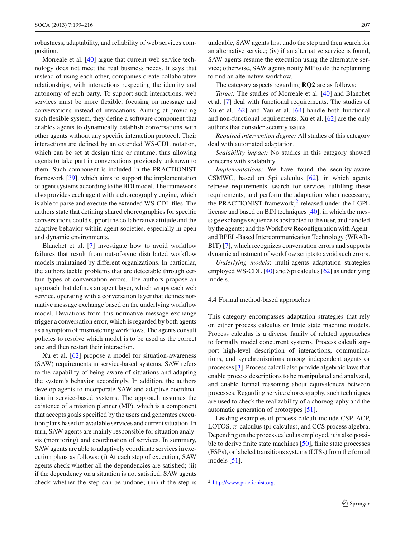robustness, adaptability, and reliability of web services composition.

Morreale et al. [\[40](#page-16-24)] argue that current web service technology does not meet the real business needs. It says that instead of using each other, companies create collaborative relationships, with interactions respecting the identity and autonomy of each party. To support such interactions, web services must be more flexible, focusing on message and conversations instead of invocations. Aiming at providing such flexible system, they define a software component that enables agents to dynamically establish conversations with other agents without any specific interaction protocol. Their interactions are defined by an extended WS-CDL notation, which can be set at design time or runtime, thus allowing agents to take part in conversations previously unknown to them. Such component is included in the PRACTIONIST framework [\[39\]](#page-16-26), which aims to support the implementation of agent systems according to the BDI model. The framework also provides each agent with a choreography engine, which is able to parse and execute the extended WS-CDL files. The authors state that defining shared choreographies for specific conversations could support the collaborative attitude and the adaptive behavior within agent societies, especially in open and dynamic environments.

Blanchet et al. [\[7](#page-15-11)] investigate how to avoid workflow failures that result from out-of-sync distributed workflow models maintained by different organizations. In particular, the authors tackle problems that are detectable through certain types of conversation errors. The authors propose an approach that defines an agent layer, which wraps each web service, operating with a conversation layer that defines normative message exchange based on the underlying workflow model. Deviations from this normative message exchange trigger a conversation error, which is regarded by both agents as a symptom of mismatching workflows. The agents consult policies to resolve which model is to be used as the correct one and then restart their interaction.

Xu et al. [\[62](#page-17-5)] propose a model for situation-awareness (SAW) requirements in service-based systems. SAW refers to the capability of being aware of situations and adapting the system's behavior accordingly. In addition, the authors develop agents to incorporate SAW and adaptive coordination in service-based systems. The approach assumes the existence of a mission planner (MP), which is a component that accepts goals specified by the users and generates execution plans based on available services and current situation. In turn, SAW agents are mainly responsible for situation analysis (monitoring) and coordination of services. In summary, SAW agents are able to adaptively coordinate services in execution plans as follows: (i) At each step of execution, SAW agents check whether all the dependencies are satisfied; (ii) if the dependency on a situation is not satisfied, SAW agents check whether the step can be undone; (iii) if the step is

undoable, SAW agents first undo the step and then search for an alternative service; (iv) if an alternative service is found, SAW agents resume the execution using the alternative service; otherwise, SAW agents notify MP to do the replanning to find an alternative workflow.

The category aspects regarding **RQ2** are as follows:

*Target:* The studies of Morreale et al. [\[40](#page-16-24)] and Blanchet et al. [\[7](#page-15-11)] deal with functional requirements. The studies of Xu et al. [\[62\]](#page-17-5) and Yau et al. [\[64](#page-17-4)] handle both functional and non-functional requirements. Xu et al. [\[62](#page-17-5)] are the only authors that consider security issues.

*Required intervention degree:* All studies of this category deal with automated adaptation.

*Scalability impact:* No studies in this category showed concerns with scalability.

*Implementations:* We have found the security-aware CSMWC, based on Spi calculus [\[62\]](#page-17-5), in which agents retrieve requirements, search for services fulfilling these requirements, and perform the adaptation when necessary; the PRACTIONIST framework, $2$  released under the LGPL license and based on BDI techniques [\[40](#page-16-24)], in which the message exchange sequence is abstracted to the user, and handled by the agents; and the Workflow Reconfiguration with Agentand BPEL-Based Intercommunication Technology (WRAB-BIT) [\[7](#page-15-11)], which recognizes conversation errors and supports dynamic adjustment of workflow scripts to avoid such errors.

*Underlying models*: multi-agents adaptation strategies employed WS-CDL [\[40\]](#page-16-24) and Spi calculus [\[62\]](#page-17-5) as underlying models.

#### 4.4 Formal method-based approaches

This category encompasses adaptation strategies that rely on either process calculus or finite state machine models. Process calculus is a diverse family of related approaches to formally model concurrent systems. Process calculi support high-level description of interactions, communications, and synchronizations among independent agents or processes [\[3](#page-15-13)]. Process calculi also provide algebraic laws that enable process descriptions to be manipulated and analyzed, and enable formal reasoning about equivalences between processes. Regarding service choreography, such techniques are used to check the realizability of a choreography and the automatic generation of prototypes [\[51](#page-16-27)].

Leading examples of process calculi include CSP, ACP, LOTOS,  $\pi$ -calculus (pi-calculus), and CCS process algebra. Depending on the process calculus employed, it is also possible to derive finite state machines [\[50](#page-16-28)], finite state processes (FSPs), or labeled transitions systems (LTSs) from the formal models  $[51]$ .

<span id="page-8-0"></span><sup>2</sup> [http://www.practionist.org.](http://www.practionist.org)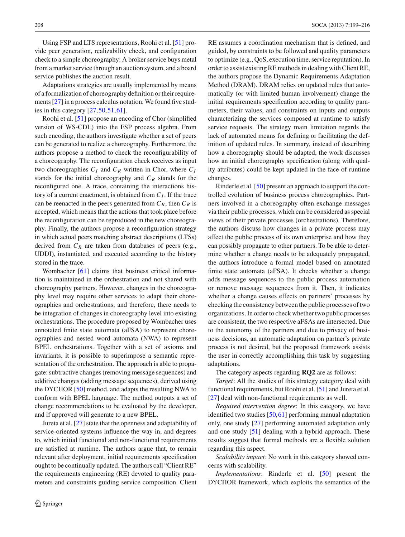Using FSP and LTS representations, Roohi et al. [\[51](#page-16-27)] provide peer generation, realizability check, and configuration check to a simple choreography: A broker service buys metal from a market service through an auction system, and a board service publishes the auction result.

Adaptations strategies are usually implemented by means of a formalization of choreography definition or their requirements [\[27\]](#page-16-29) in a process calculus notation. We found five studies in this category  $[27,50,51,61]$  $[27,50,51,61]$  $[27,50,51,61]$  $[27,50,51,61]$  $[27,50,51,61]$ .

Roohi et al. [\[51\]](#page-16-27) propose an encoding of Chor (simplified version of WS-CDL) into the FSP process algebra. From such encoding, the authors investigate whether a set of peers can be generated to realize a choreography. Furthermore, the authors propose a method to check the reconfigurability of a choreography. The reconfiguration check receives as input two choreographies  $C_I$  and  $C_R$  written in Chor, where  $C_I$ stands for the initial choreography and  $C_R$  stands for the reconfigured one. A trace, containing the interactions history of a current enactment, is obtained from  $C_I$ . If the trace can be reenacted in the peers generated from  $C_R$ , then  $C_R$  is accepted, which means that the actions that took place before the reconfiguration can be reproduced in the new choreography. Finally, the authors propose a reconfiguration strategy in which actual peers matching abstract descriptions (LTSs) derived from  $C_R$  are taken from databases of peers (e.g., UDDI), instantiated, and executed according to the history stored in the trace.

Wombacher [\[61\]](#page-17-6) claims that business critical information is maintained in the orchestration and not shared with choreography partners. However, changes in the choreography level may require other services to adapt their choreographies and orchestrations, and therefore, there needs to be integration of changes in choreography level into existing orchestrations. The procedure proposed by Wombacher uses annotated finite state automata (aFSA) to represent choreographies and nested word automata (NWA) to represent BPEL orchestrations. Together with a set of axioms and invariants, it is possible to superimpose a semantic representation of the orchestration. The approach is able to propagate: subtractive changes (removing message sequences) and additive changes (adding message sequences), derived using the DYCHOR [\[50](#page-16-28)] method, and adapts the resulting NWA to conform with BPEL language. The method outputs a set of change recommendations to be evaluated by the developer, and if approved will generate to a new BPEL.

Jureta et al. [\[27\]](#page-16-29) state that the openness and adaptability of service-oriented systems influence the way in, and degrees to, which initial functional and non-functional requirements are satisfied at runtime. The authors argue that, to remain relevant after deployment, initial requirements specification ought to be continually updated. The authors call "Client RE" the requirements engineering (RE) devoted to quality parameters and constraints guiding service composition. Client

RE assumes a coordination mechanism that is defined, and guided, by constraints to be followed and quality parameters to optimize (e.g., QoS, execution time, service reputation). In order to assist existing RE methods in dealing with Client RE, the authors propose the Dynamic Requirements Adaptation Method (DRAM). DRAM relies on updated rules that automatically (or with limited human involvement) change the initial requirements specification according to quality parameters, their values, and constraints on inputs and outputs characterizing the services composed at runtime to satisfy service requests. The strategy main limitation regards the lack of automated means for defining or facilitating the definition of updated rules. In summary, instead of describing how a choreography should be adapted, the work discusses how an initial choreography specification (along with quality attributes) could be kept updated in the face of runtime changes.

Rinderle et al. [\[50\]](#page-16-28) present an approach to support the controlled evolution of business process choreographies. Partners involved in a choreography often exchange messages via their public processes, which can be considered as special views of their private processes (orchestrations). Therefore, the authors discuss how changes in a private process may affect the public process of its own enterprise and how they can possibly propagate to other partners. To be able to determine whether a change needs to be adequately propagated, the authors introduce a formal model based on annotated finite state automata (aFSA). It checks whether a change adds message sequences to the public process automation or remove message sequences from it. Then, it indicates whether a change causes effects on partners' processes by checking the consistency between the public processes of two organizations. In order to check whether two public processes are consistent, the two respective aFSAs are intersected. Due to the autonomy of the partners and due to privacy of business decisions, an automatic adaptation on partner's private process is not desired, but the proposed framework assists the user in correctly accomplishing this task by suggesting adaptations.

The category aspects regarding **RQ2** are as follows:

*Target*: All the studies of this strategy category deal with functional requirements, but Roohi et al. [\[51\]](#page-16-27) and Jureta et al. [\[27](#page-16-29)] deal with non-functional requirements as well.

*Required intervention degree*: In this category, we have identified two studies [\[50](#page-16-28)[,61](#page-17-6)] performing manual adaptation only, one study [\[27\]](#page-16-29) performing automated adaptation only and one study [\[51](#page-16-27)] dealing with a hybrid approach. These results suggest that formal methods are a flexible solution regarding this aspect.

*Scalability impact*: No work in this category showed concerns with scalability.

*Implementations*: Rinderle et al. [\[50\]](#page-16-28) present the DYCHOR framework, which exploits the semantics of the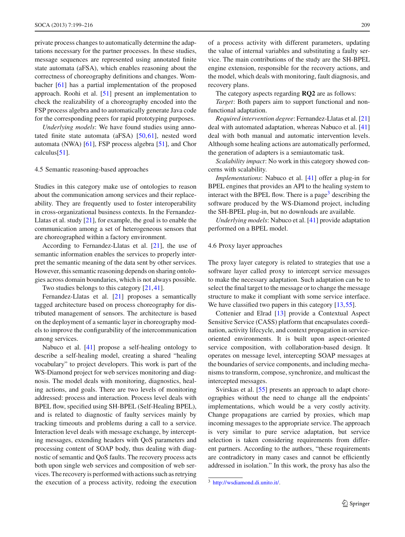private process changes to automatically determine the adaptations necessary for the partner processes. In these studies, message sequences are represented using annotated finite state automata (aFSA), which enables reasoning about the correctness of choreography definitions and changes. Wombacher [\[61\]](#page-17-6) has a partial implementation of the proposed approach. Roohi et al. [\[51\]](#page-16-27) present an implementation to check the realizability of a choreography encoded into the FSP process algebra and to automatically generate Java code for the corresponding peers for rapid prototyping purposes.

*Underlying models*: We have found studies using annotated finite state automata (aFSA) [\[50](#page-16-28)[,61](#page-17-6)], nested word automata (NWA) [\[61](#page-17-6)], FSP process algebra [\[51](#page-16-27)], and Chor calculus[\[51\]](#page-16-27).

# 4.5 Semantic reasoning-based approaches

Studies in this category make use of ontologies to reason about the communication among services and their replaceability. They are frequently used to foster interoperability in cross-organizational business contexts. In the Fernandez-Llatas et al. study  $[21]$ , for example, the goal is to enable the communication among a set of heterogeneous sensors that are choreographed within a factory environment.

According to Fernandez-Llatas et al. [\[21](#page-16-25)], the use of semantic information enables the services to properly interpret the semantic meaning of the data sent by other services. However, this semantic reasoning depends on sharing ontologies across domain boundaries, which is not always possible.

Two studies belongs to this category [\[21](#page-16-25)[,41](#page-16-30)].

Fernandez-Llatas et al. [\[21\]](#page-16-25) proposes a semantically tagged architecture based on process choreography for distributed management of sensors. The architecture is based on the deployment of a semantic layer in choreography models to improve the configurability of the intercommunication among services.

Nabuco et al. [\[41\]](#page-16-30) propose a self-healing ontology to describe a self-healing model, creating a shared "healing vocabulary" to project developers. This work is part of the WS-Diamond project for web services monitoring and diagnosis. The model deals with monitoring, diagnostics, healing actions, and goals. There are two levels of monitoring addressed: process and interaction. Process level deals with BPEL flow, specified using SH-BPEL (Self-Healing BPEL), and is related to diagnostic of faulty services mainly by tracking timeouts and problems during a call to a service. Interaction level deals with message exchange, by intercepting messages, extending headers with QoS parameters and processing content of SOAP body, thus dealing with diagnostic of semantic and QoS faults. The recovery process acts both upon single web services and composition of web services. The recovery is performed with actions such as retrying the execution of a process activity, redoing the execution of a process activity with different parameters, updating the value of internal variables and substituting a faulty service. The main contributions of the study are the SH-BPEL engine extension, responsible for the recovery actions, and the model, which deals with monitoring, fault diagnosis, and recovery plans.

The category aspects regarding **RQ2** are as follows:

*Target*: Both papers aim to support functional and nonfunctional adaptation.

*Required intervention degree*: Fernandez-Llatas et al. [\[21\]](#page-16-25) deal with automated adaptation, whereas Nabuco et al. [\[41\]](#page-16-30) deal with both manual and automatic intervention levels. Although some healing actions are automatically performed, the generation of adapters is a semiautomatic task.

*Scalability impact*: No work in this category showed concerns with scalability.

*Implementations*: Nabuco et al. [\[41](#page-16-30)] offer a plug-in for BPEL engines that provides an API to the healing system to interact with the BPEL flow. There is a page<sup>[3](#page-10-0)</sup> describing the software produced by the WS-Diamond project, including the SH-BPEL plug-in, but no downloads are available.

*Underlying models*: Nabuco et al. [\[41](#page-16-30)] provide adaptation performed on a BPEL model.

#### 4.6 Proxy layer approaches

The proxy layer category is related to strategies that use a software layer called proxy to intercept service messages to make the necessary adaptation. Such adaptation can be to select the final target to the message or to change the message structure to make it compliant with some service interface. We have classified two papers in this category [\[13](#page-15-14)[,55](#page-16-31)].

Cottenier and Elrad [\[13](#page-15-14)] provide a Contextual Aspect Sensitive Service (CASS) platform that encapsulates coordination, activity lifecycle, and context propagation in serviceoriented environments. It is built upon aspect-oriented service composition, with collaboration-based design. It operates on message level, intercepting SOAP messages at the boundaries of service components, and including mechanisms to transform, compose, synchronize, and multicast the intercepted messages.

Svirskas et al. [\[55](#page-16-31)] presents an approach to adapt choreographies without the need to change all the endpoints' implementations, which would be a very costly activity. Change propagations are carried by proxies, which map incoming messages to the appropriate service. The approach is very similar to pure service adaptation, but service selection is taken considering requirements from different partners. According to the authors, "these requirements are contradictory in many cases and cannot be efficiently addressed in isolation." In this work, the proxy has also the

<span id="page-10-0"></span><sup>3</sup> [http://wsdiamond.di.unito.it/.](http://wsdiamond.di.unito.it/)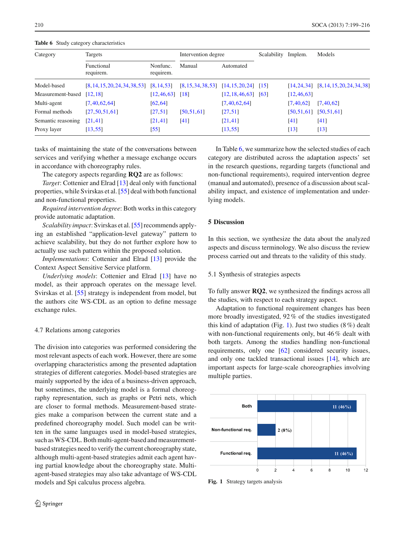<span id="page-11-1"></span>

| Category           | Targets                                         |                       | Intervention degree                           |                  | Scalability Implem. |              | Models                                       |
|--------------------|-------------------------------------------------|-----------------------|-----------------------------------------------|------------------|---------------------|--------------|----------------------------------------------|
|                    | Functional<br>requirem.                         | Nonfunc.<br>requirem. | Manual                                        | Automated        |                     |              |                                              |
| Model-based        | $[8, 14, 15, 20, 24, 34, 38, 53]$ $[8, 14, 53]$ |                       | $[8, 15, 34, 38, 53]$ $[14, 15, 20, 24]$ [15] |                  |                     |              | $[14, 24, 34]$ $[8, 14, 15, 20, 24, 34, 38]$ |
| Measurement-based  | [12, 18]                                        | $[12, 46, 63]$ $[18]$ |                                               | [12, 18, 46, 63] | $\lceil 63 \rceil$  | [12, 46, 63] |                                              |
| Multi-agent        | [7, 40, 62, 64]                                 | [62, 64]              |                                               | [7, 40, 62, 64]  |                     | [7, 40, 62]  | [7, 40, 62]                                  |
| Formal methods     | [27, 50, 51, 61]                                | [27, 51]              | [50, 51, 61]                                  | [27, 51]         |                     | [50, 51, 61] | [50, 51, 61]                                 |
| Semantic reasoning | [21, 41]                                        | [21, 41]              | [41]                                          | [21, 41]         |                     | [41]         | $[41]$                                       |
| Proxy layer        | [13, 55]                                        | $\left[55\right]$     |                                               | [13, 55]         |                     | $[13]$       | $[13]$                                       |

**Table 6** Study category characteristics

tasks of maintaining the state of the conversations between services and verifying whether a message exchange occurs in accordance with choreography rules.

The category aspects regarding **RQ2** are as follows:

*Target*: Cottenier and Elrad [\[13](#page-15-14)] deal only with functional properties, while Svirskas et al. [\[55](#page-16-31)] deal with both functional and non-functional properties.

*Required intervention degree*: Both works in this category provide automatic adaptation.

*Scalability impact*: Svirskas et al. [\[55\]](#page-16-31) recommends applying an established "application-level gateway" pattern to achieve scalability, but they do not further explore how to actually use such pattern within the proposed solution.

*Implementations*: Cottenier and Elrad [\[13\]](#page-15-14) provide the Context Aspect Sensitive Service platform.

*Underlying models*: Cottenier and Elrad [\[13](#page-15-14)] have no model, as their approach operates on the message level. Svirskas et al. [\[55](#page-16-31)] strategy is independent from model, but the authors cite WS-CDL as an option to define message exchange rules.

#### 4.7 Relations among categories

The division into categories was performed considering the most relevant aspects of each work. However, there are some overlapping characteristics among the presented adaptation strategies of different categories. Model-based strategies are mainly supported by the idea of a business-driven approach, but sometimes, the underlying model is a formal choreography representation, such as graphs or Petri nets, which are closer to formal methods. Measurement-based strategies make a comparison between the current state and a predefined choreography model. Such model can be written in the same languages used in model-based strategies, such as WS-CDL. Both multi-agent-based and measurementbased strategies need to verify the current choreography state, although multi-agent-based strategies admit each agent having partial knowledge about the choreography state. Multiagent-based strategies may also take advantage of WS-CDL models and Spi calculus process algebra.

In Table [6,](#page-11-1) we summarize how the selected studies of each category are distributed across the adaptation aspects' set in the research questions, regarding targets (functional and non-functional requirements), required intervention degree (manual and automated), presence of a discussion about scalability impact, and existence of implementation and underlying models.

## <span id="page-11-0"></span>**5 Discussion**

In this section, we synthesize the data about the analyzed aspects and discuss terminology. We also discuss the review process carried out and threats to the validity of this study.

#### 5.1 Synthesis of strategies aspects

To fully answer **RQ2**, we synthesized the findings across all the studies, with respect to each strategy aspect.

Adaptation to functional requirement changes has been more broadly investigated, 92 % of the studies investigated this kind of adaptation (Fig. [1\)](#page-11-2). Just two studies  $(8\%)$  dealt with non-functional requirements only, but 46 % dealt with both targets. Among the studies handling non-functional requirements, only one [\[62\]](#page-17-5) considered security issues, and only one tackled transactional issues [\[14\]](#page-15-7), which are important aspects for large-scale choreographies involving multiple parties.



<span id="page-11-2"></span>**Fig. 1** Strategy targets analysis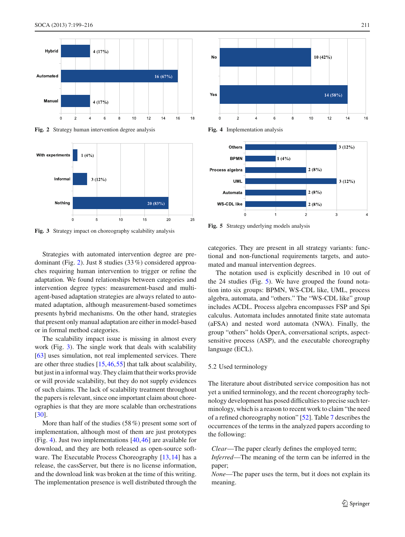

**Fig. 2** Strategy human intervention degree analysis

<span id="page-12-0"></span>

<span id="page-12-1"></span>**Fig. 3** Strategy impact on choreography scalability analysis

Strategies with automated intervention degree are predominant (Fig. [2\)](#page-12-0). Just 8 studies (33 %) considered approaches requiring human intervention to trigger or refine the adaptation. We found relationships between categories and intervention degree types: measurement-based and multiagent-based adaptation strategies are always related to automated adaptation, although measurement-based sometimes presents hybrid mechanisms. On the other hand, strategies that present only manual adaptation are either in model-based or in formal method categories.

The scalability impact issue is missing in almost every work (Fig. [3\)](#page-12-1). The single work that deals with scalability [\[63](#page-17-3)] uses simulation, not real implemented services. There are other three studies [\[15,](#page-15-8)[46](#page-16-21)[,55](#page-16-31)] that talk about scalability, but just in a informal way. They claim that their works provide or will provide scalability, but they do not supply evidences of such claims. The lack of scalability treatment throughout the papers is relevant, since one important claim about choreographies is that they are more scalable than orchestrations [\[30](#page-16-32)].

More than half of the studies (58 %) present some sort of implementation, although most of them are just prototypes (Fig. [4\)](#page-12-2). Just two implementations [\[40](#page-16-24)[,46](#page-16-21)] are available for download, and they are both released as open-source software. The Executable Process Choreography [\[13,](#page-15-14)[14\]](#page-15-7) has a release, the cassServer, but there is no license information, and the download link was broken at the time of this writing. The implementation presence is well distributed through the



**Fig. 4** Implementation analysis

<span id="page-12-2"></span>

<span id="page-12-3"></span>**Fig. 5** Strategy underlying models analysis

categories. They are present in all strategy variants: functional and non-functional requirements targets, and automated and manual intervention degrees.

The notation used is explicitly described in 10 out of the 24 studies (Fig. [5\)](#page-12-3). We have grouped the found notation into six groups: BPMN, WS-CDL like, UML, process algebra, automata, and "others." The "WS-CDL like" group includes ACDL. Process algebra encompasses FSP and Spi calculus. Automata includes annotated finite state automata (aFSA) and nested word automata (NWA). Finally, the group "others" holds OperA, conversational scripts, aspectsensitive process (ASP), and the executable choreography language (ECL).

## 5.2 Used terminology

The literature about distributed service composition has not yet a unified terminology, and the recent choreography technology development has posed difficulties to precise such terminology, which is a reason to recent work to claim "the need of a refined choreography notion" [\[52](#page-16-33)]. Table [7](#page-13-1) describes the occurrences of the terms in the analyzed papers according to the following:

*Clear*—The paper clearly defines the employed term;

*Inferred*—The meaning of the term can be inferred in the paper;

*None*—The paper uses the term, but it does not explain its meaning.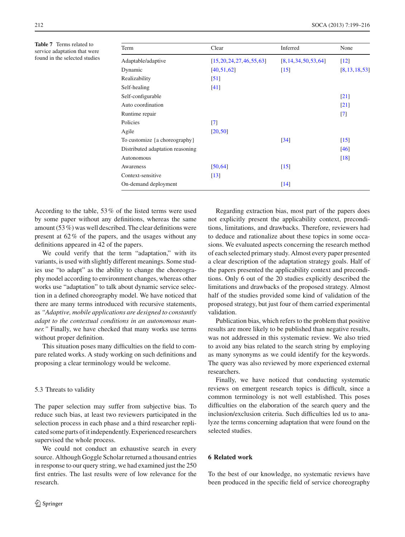<span id="page-13-1"></span>**Table 7** Terms related to service adaptation that were found in the selected studies

| Term                             | Clear                        | Inferred                | None               |
|----------------------------------|------------------------------|-------------------------|--------------------|
| Adaptable/adaptive               | [15, 20, 24, 27, 46, 55, 63] | [8, 14, 34, 50, 53, 64] | $[12]$             |
| Dynamic                          | [40, 51, 62]                 | $\lceil 15 \rceil$      | [8, 13, 18, 53]    |
| Realizability                    | $\left[51\right]$            |                         |                    |
| Self-healing                     | [41]                         |                         |                    |
| Self-configurable                |                              |                         | $\left[21\right]$  |
| Auto coordination                |                              |                         | $\left[21\right]$  |
| Runtime repair                   |                              |                         | $\lceil 7 \rceil$  |
| Policies                         | $\lceil 7 \rceil$            |                         |                    |
| Agile                            | [20, 50]                     |                         |                    |
| To customize {a choreography}    |                              | $\lceil 34 \rceil$      | $\lceil 15 \rceil$ |
| Distributed adaptation reasoning |                              |                         | $[46]$             |
| Autonomous                       |                              |                         | $\lceil 18 \rceil$ |
| Awareness                        | [50, 64]                     | $[15]$                  |                    |
| Context-sensitive                | $[13]$                       |                         |                    |
| On-demand deployment             |                              | $\lceil 14 \rceil$      |                    |

According to the table, 53 % of the listed terms were used by some paper without any definitions, whereas the same amount (53 %) was well described. The clear definitions were present at 62 % of the papers, and the usages without any definitions appeared in 42 of the papers.

We could verify that the term "adaptation," with its variants, is used with slightly different meanings. Some studies use "to adapt" as the ability to change the choreography model according to environment changes, whereas other works use "adaptation" to talk about dynamic service selection in a defined choreography model. We have noticed that there are many terms introduced with recursive statements, as *"Adaptive, mobile applications are designed to constantly adapt to the contextual conditions in an autonomous manner."* Finally, we have checked that many works use terms without proper definition.

This situation poses many difficulties on the field to compare related works. A study working on such definitions and proposing a clear terminology would be welcome.

#### 5.3 Threats to validity

The paper selection may suffer from subjective bias. To reduce such bias, at least two reviewers participated in the selection process in each phase and a third researcher replicated some parts of it independently. Experienced researchers supervised the whole process.

We could not conduct an exhaustive search in every source. Although Goggle Scholar returned a thousand entries in response to our query string, we had examined just the 250 first entries. The last results were of low relevance for the research.

Regarding extraction bias, most part of the papers does not explicitly present the applicability context, preconditions, limitations, and drawbacks. Therefore, reviewers had to deduce and rationalize about these topics in some occasions. We evaluated aspects concerning the research method of each selected primary study. Almost every paper presented a clear description of the adaptation strategy goals. Half of the papers presented the applicability context and preconditions. Only 6 out of the 20 studies explicitly described the limitations and drawbacks of the proposed strategy. Almost half of the studies provided some kind of validation of the proposed strategy, but just four of them carried experimental validation.

Publication bias, which refers to the problem that positive results are more likely to be published than negative results, was not addressed in this systematic review. We also tried to avoid any bias related to the search string by employing as many synonyms as we could identify for the keywords. The query was also reviewed by more experienced external researchers.

Finally, we have noticed that conducting systematic reviews on emergent research topics is difficult, since a common terminology is not well established. This poses difficulties on the elaboration of the search query and the inclusion/exclusion criteria. Such difficulties led us to analyze the terms concerning adaptation that were found on the selected studies.

## <span id="page-13-0"></span>**6 Related work**

To the best of our knowledge, no systematic reviews have been produced in the specific field of service choreography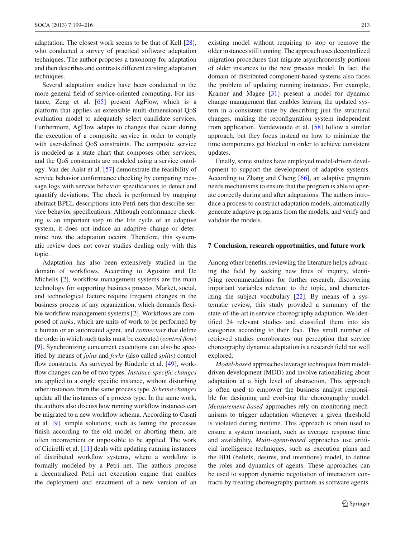adaptation. The closest work seems to be that of Kell [\[28](#page-16-34)], who conducted a survey of practical software adaptation techniques. The author proposes a taxonomy for adaptation and then describes and contrasts different existing adaptation techniques.

Several adaptation studies have been conducted in the more general field of service-oriented computing. For instance, Zeng et al. [\[65\]](#page-17-2) present AgFlow, which is a platform that applies an extensible multi-dimensional QoS evaluation model to adequately select candidate services. Furthermore, AgFlow adapts to changes that occur during the execution of a composite service in order to comply with user-defined QoS constraints. The composite service is modeled as a state chart that composes other services, and the QoS constraints are modeled using a service ontology. Van der Aalst et al. [\[57\]](#page-16-35) demonstrate the feasibility of service behavior conformance checking by comparing message logs with service behavior specifications to detect and quantify deviations. The check is performed by mapping abstract BPEL descriptions into Petri nets that describe service behavior specifications. Although conformance checking is an important step in the life cycle of an adaptive system, it does not induce an adaptive change or determine how the adaptation occurs. Therefore, this systematic review does not cover studies dealing only with this topic.

Adaptation has also been extensively studied in the domain of workflows. According to Agostini and De Michelis [\[2\]](#page-15-15), workflow management systems are the main technology for supporting business process. Market, social, and technological factors require frequent changes in the business process of any organization, which demands flexible workflow management systems [\[2\]](#page-15-15). Workflows are composed of *tasks*, which are units of work to be performed by a human or an automated agent, and *connectors* that define the order in which such tasks must be executed (*control flow*) [\[9](#page-15-16)]. Synchronizing concurrent executions can also be specified by means of *joins* and *forks* (also called *splits*) control flow constructs. As surveyed by Rinderle et al. [\[49\]](#page-16-36), workflow changes can be of two types. *Instance specific changes* are applied to a single specific instance, without disturbing other instances from the same process type. *Schema changes* update all the instances of a process type. In the same work, the authors also discuss how running workflow instances can be migrated to a new workflow schema. According to Casati et al. [\[9](#page-15-16)], simple solutions, such as letting the processes finish according to the old model or aborting them, are often inconvenient or impossible to be applied. The work of Cicirelli et al. [\[11](#page-15-17)] deals with updating running instances of distributed workflow systems, where a workflow is formally modeled by a Petri net. The authors propose a decentralized Petri net execution engine that enables the deployment and enactment of a new version of an existing model without requiring to stop or remove the older instances still running. The approach uses decentralized migration procedures that migrate asynchronously portions of older instances to the new process model. In fact, the domain of distributed component-based systems also faces the problem of updating running instances. For example, Kramer and Magee [\[31](#page-16-37)] present a model for dynamic change management that enables leaving the updated system in a consistent state by describing just the structural changes, making the reconfiguration system independent from application. Vandewoude et al. [\[58](#page-17-7)] follow a similar approach, but they focus instead on how to minimize the time components get blocked in order to achieve consistent updates.

Finally, some studies have employed model-driven development to support the development of adaptive systems. According to Zhang and Cheng [\[66\]](#page-17-8), an adaptive program needs mechanisms to ensure that the program is able to operate correctly during and after adaptations. The authors introduce a process to construct adaptation models, automatically generate adaptive programs from the models, and verify and validate the models.

#### <span id="page-14-0"></span>**7 Conclusion, research opportunities, and future work**

Among other benefits, reviewing the literature helps advancing the field by seeking new lines of inquiry, identifying recommendations for further research, discovering important variables relevant to the topic, and characterizing the subject vocabulary [\[22](#page-16-38)]. By means of a systematic review, this study provided a summary of the state-of-the-art in service choreography adaptation. We identified 24 relevant studies and classified them into six categories according to their foci. This small number of retrieved studies corroborates our perception that service choreography dynamic adaptation is a research field not well explored.

*Model-based* approaches leverage techniques from modeldriven development (MDD) and involve rationalizing about adaptation at a high level of abstraction. This approach is often used to empower the business analyst responsible for designing and evolving the choreography model. *Measurement-based* approaches rely on monitoring mechanisms to trigger adaptation whenever a given threshold is violated during runtime. This approach is often used to ensure a system invariant, such as average response time and availability. *Multi-agent-based* approaches use artificial intelligence techniques, such as execution plans and the BDI (beliefs, desires, and intentions) model, to define the roles and dynamics of agents. These approaches can be used to support dynamic negotiation of interaction contracts by treating choreography partners as software agents.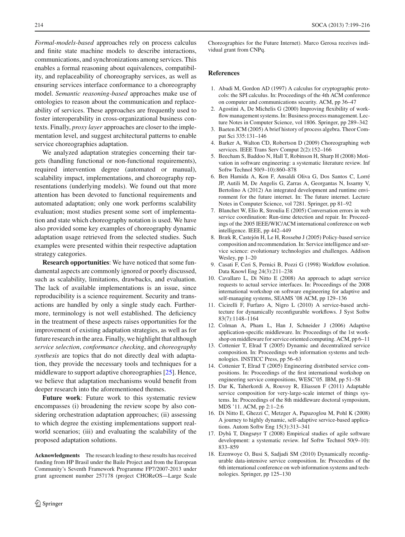*Formal-models-based* approaches rely on process calculus and finite state machine models to describe interactions, communications, and synchronizations among services. This enables a formal reasoning about equivalences, compatibility, and replaceability of choreography services, as well as ensuring services interface conformance to a choreography model. *Semantic reasoning-based* approaches make use of ontologies to reason about the communication and replaceability of services. These approaches are frequently used to foster interoperability in cross-organizational business contexts. Finally, *proxy layer* approaches are closer to the implementation level, and suggest architectural patterns to enable service choreographies adaptation.

We analyzed adaptation strategies concerning their targets (handling functional or non-functional requirements), required intervention degree (automated or manual), scalability impact, implementations, and choreography representations (underlying models). We found out that more attention has been devoted to functional requirements and automated adaptation; only one work performs scalability evaluation; most studies present some sort of implementation and state which choreography notation is used. We have also provided some key examples of choreography dynamic adaptation usage retrieved from the selected studies. Such examples were presented within their respective adaptation strategy categories.

**Research opportunities**: We have noticed that some fundamental aspects are commonly ignored or poorly discussed, such as scalability, limitations, drawbacks, and evaluation. The lack of available implementations is an issue, since reproducibility is a science requirement. Security and transactions are handled by only a single study each. Furthermore, terminology is not well established. The deficiency in the treatment of these aspects raises opportunities for the improvement of existing adaptation strategies, as well as for future research in the area. Finally, we highlight that although *service selection*, *conformance checking*, and *choreography synthesis* are topics that do not directly deal with adaptation, they provide the necessary tools and techniques for a middleware to support adaptive choreographies [\[25](#page-16-6)]. Hence, we believe that adaptation mechanisms would benefit from deeper research into the aforementioned themes.

**Future work**: Future work to this systematic review encompasses (i) broadening the review scope by also considering orchestration adaptation approaches; (ii) assessing to which degree the existing implementations support realworld scenarios; (iii) and evaluating the scalability of the proposed adaptation solutions.

**Acknowledgments** The research leading to these results has received funding from HP Brasil under the Baile Project and from the European Community's Seventh Framework Programme FP7/2007-2013 under grant agreement number 257178 (project CHOReOS—Large Scale Choreographies for the Future Internet). Marco Gerosa receives individual grant from CNPq.

# <span id="page-15-12"></span>**References**

- 1. Abadi M, Gordon AD (1997) A calculus for cryptographic protocols: the SPI calculus. In: Proceedings of the 4th ACM conference on computer and communications security. ACM, pp 36–47
- <span id="page-15-15"></span>2. Agostini A, De Michelis G (2000) Improving flexibility of workflow management systems. In: Business process management. Lecture Notes in Computer Science, vol 1806. Springer, pp 289–342
- <span id="page-15-13"></span>3. Baeten JCM (2005) A brief history of process algebra. Theor Comput Sci 335:131–146
- <span id="page-15-0"></span>4. Barker A, Walton CD, Robertson D (2009) Choreographing web services. IEEE Trans Serv Comput 2(2):152–166
- <span id="page-15-4"></span>5. Beecham S, Baddoo N, Hall T, Robinson H, Sharp H (2008) Motivation in software engineering: a systematic literature review. Inf Softw Technol 50(9–10):860–878
- <span id="page-15-2"></span>6. Ben Hamida A, Kon F, Ansaldi Oliva G, Dos Santos C, Lorré JP, Autili M, De Angelis G, Zarras A, Georgantas N, Issarny V, Bertolino A (2012) An integrated development and runtime environment for the future internet. In: The future internet. Lecture Notes in Computer Science, vol 7281. Springer, pp 81–92
- <span id="page-15-11"></span>7. Blanchet W, Elio R, Stroulia E (2005) Conversation errors in web service coordination: Run-time detection and repair. In: Proceedings of the 2005 IEEE/WIC/ACM international conference on web intelligence. IEEE, pp 442–449
- <span id="page-15-6"></span>8. Bræk R, Castejón H, Le H, Rossebø J (2005) Policy-based service composition and recommendation. In: Service intelligence and service science: evolutionary technologies and challenges. Addison Wesley, pp  $1-20$
- 9. Casati F, Ceri S, Pernici B, Pozzi G (1998) Workflow evolution. Data Knowl Eng 24(3):211–238
- <span id="page-15-16"></span><span id="page-15-5"></span>10. Cavallaro L, Di Nitto E (2008) An approach to adapt service requests to actual service interfaces. In: Proceedings of the 2008 international workshop on software engineering for adaptive and self-managing systems, SEAMS '08 ACM, pp 129–136
- <span id="page-15-17"></span>11. Cicirelli F, Furfaro A, Nigro L (2010) A service-based architecture for dynamically reconfigurable workflows. J Syst Softw 83(7):1148–1164
- <span id="page-15-9"></span>12. Colman A, Pham L, Han J, Schneider J (2006) Adaptive application-specific middleware. In: Proceedings of the 1st workshop on middleware for service oriented computing. ACM, pp 6–11
- <span id="page-15-14"></span>13. Cottenier T, Elrad T (2005) Dynamic and decentralized service composition. In: Proceedings web information systems and technologies. INSTICC Press, pp 56–63
- <span id="page-15-7"></span>14. Cottenier T, Elrad T (2005) Engineering distributed service compositions. In: Proceedings of the first international workshop on engineering service compositions, WESC'05. IBM, pp 51–58
- <span id="page-15-8"></span>15. Dar K, Taherkordi A, Rouvoy R, Eliassen F (2011) Adaptable service composition for very-large-scale internet of things systems. In: Proceedings of the 8th middleware doctoral symposium, MDS '11. ACM, pp 2:1–2:6
- <span id="page-15-1"></span>16. Di Nitto E, Ghezzi C, Metzger A, Papazoglou M, Pohl K (2008) A journey to highly dynamic, self-adaptive service-based applications. Autom Softw Eng 15(3):313–341
- <span id="page-15-3"></span>17. Dybå T, Dingsøyr T (2008) Empirical studies of agile software development: a systematic review. Inf Softw Technol 50(9–10): 833–859
- <span id="page-15-10"></span>18. Ezenwoye O, Busi S, Sadjadi SM (2010) Dynamically reconfigurable data-intensive service composition. In: Proceedins of the 6th international conference on web information systems and technologies. Springer, pp 125–130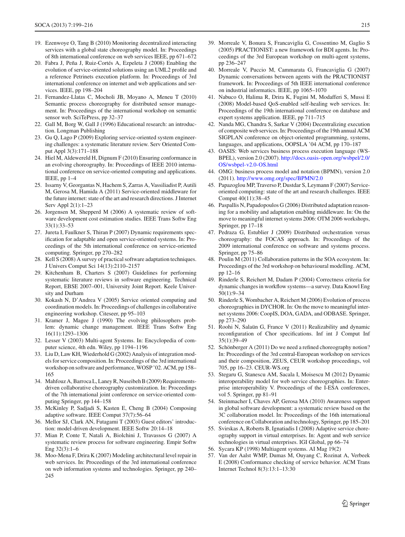- <span id="page-16-20"></span>19. Ezenwoye O, Tang B (2010) Monitoring decentralized interacting services with a global state choreography model. In: Proceedings of 8th international conference on web services IEEE, pp 671–672
- <span id="page-16-14"></span>20. Fabra J, Peña J, Ruiz-Cortés A, Ezpeleta J (2008) Enabling the evolution of service-oriented solutions using an UML2 profile and a reference Petrinets execution platform. In: Proceedings of 3rd international conference on internet and web applications and services. IEEE, pp 198–204
- <span id="page-16-25"></span>21. Fernandez-Llatas C, Mocholi JB, Moyano A, Meneu T (2010) Semantic process choreography for distributed sensor management. In: Proceedings of the international workshop on semantic sensor web. SciTePress, pp 32–37
- <span id="page-16-38"></span>22. Gall M, Borg W, Gall J (1996) Educational research: an introduction. Longman Publishing
- <span id="page-16-13"></span>23. Gu Q, Lago P (2009) Exploring service-oriented system engineering challenges: a systematic literature review. Serv Oriented Comput Appl 3(3):171–188
- <span id="page-16-17"></span>24. Hiel M, Aldewereld H, Dignum F (2010) Ensuring conformance in an evolving choreography. In: Proceedings of IEEE 2010 international conference on service-oriented computing and applications. IEEE, pp 1–4
- <span id="page-16-6"></span>25. Issarny V, Georgantas N, Hachem S, Zarras A, Vassiliadist P, Autili M, Gerosa M, Hamida A (2011) Service-oriented middleware for the future internet: state of the art and research directions. J Internet Serv Appl 2(1):1–23
- <span id="page-16-11"></span>26. Jorgensen M, Shepperd M (2006) A systematic review of software development cost estimation studies. IEEE Trans Softw Eng 33(1):33–53
- <span id="page-16-29"></span>27. Jureta I, Faulkner S, Thiran P (2007) Dynamic requirements specification for adaptable and open service-oriented systems. In: Proceedings of the 5th international conference on service-oriented computing. Springer, pp 270–282
- <span id="page-16-34"></span>28. Kell S (2008) A survey of practical software adaptation techniques. J Univers Comput Sci 14(13):2110–2157
- <span id="page-16-10"></span>29. Kitchenham B, Charters S (2007) Guidelines for performing systematic literature reviews in software engineering. Technical Report, EBSE 2007–001, University Joint Report. Keele University and Durham
- <span id="page-16-32"></span>30. Kokash N, D'Andrea V (2005) Service oriented computing and coordination models. In: Proceedings of challenges in collaborative engineering workshop. Citeseer, pp 95–103
- <span id="page-16-37"></span>31. Kramer J, Magee J (1990) The evolving philosophers problem: dynamic change management. IEEE Trans Softw Eng 16(11):1293–1306
- <span id="page-16-22"></span>32. Lesser V (2003) Multi-agent Systems. In: Encyclopedia of computer science, 4th edn. Wiley, pp 1194–1196
- <span id="page-16-5"></span>33. Liu D, Law KH, Wiederhold G (2002) Analysis of integration models for service composition. In: Proceedings of the 3rd international workshop on software and performance, WOSP '02. ACM, pp 158– 165
- <span id="page-16-16"></span>34. Mahfouz A, Barroca L, Laney R, Nuseibeh B (2009) Requirementsdriven collaborative choreography customization. In: Proceedings of the 7th international joint conference on service-oriented computing Springer, pp 144–158
- <span id="page-16-8"></span>35. McKinley P, Sadjadi S, Kasten E, Cheng B (2004) Composing adaptive software. IEEE Comput 37(7):56–64
- <span id="page-16-15"></span>36. Mellor SJ, Clark AN, Futagami T (2003) Guest editors' introduction: model-driven development. IEEE Softw 20:14–18
- <span id="page-16-9"></span>37. Mian P, Conte T, Natali A, Biolchini J, Travassos G (2007) A systematic review process for software engineering. Empir Softw Eng 32(3):1–6
- <span id="page-16-18"></span>38. Moo-Mena F, Drira K (2007) Modeling architectural level repair in web services. In: Proceedings of the 3rd international conference on web information systems and technologies. Springer, pp 240– 245
- <span id="page-16-26"></span>39. Morreale V, Bonura S, Francaviglia G, Cossentino M, Gaglio S (2005) PRACTIONIST: a new framework for BDI agents. In: Proceedings of the 3rd European workshop on multi-agent systems, pp 236–247
- <span id="page-16-24"></span>40. Morreale V, Puccio M, Cammarata G, Francaviglia G (2007) Dynamic conversations between agents with the PRACTIONIST framework. In: Proceedings of 5th IEEE international conference on industrial informatics. IEEE, pp 1065–1070
- <span id="page-16-30"></span>41. Nabuco O, Halima R, Drira K, Fugini M, Modafferi S, Mussi E (2008) Model-based QoS-enabled self-healing web services. In: Proceedings of the 19th international conference on database and expert systems application. IEEE, pp 711–715
- <span id="page-16-0"></span>42. Nanda MG, Chandra S, Sarkar V (2004) Decentralizing execution of composite web services. In: Proceedings of the 19th annual ACM SIGPLAN conference on object-oriented programming, systems, languages, and applications, OOPSLA '04 ACM, pp 170–187
- <span id="page-16-1"></span>43. OASIS: Web services business process execution language (WS-BPEL), version 2.0 (2007). [http://docs.oasis-open.org/wsbpel/2.0/](http://docs.oasis-open.org/wsbpel/2.0/OS/wsbpel-v2.0-OS.html) [OS/wsbpel-v2.0-OS.html](http://docs.oasis-open.org/wsbpel/2.0/OS/wsbpel-v2.0-OS.html)
- <span id="page-16-2"></span>44. OMG: business process model and notation (BPMN), version 2.0 (2011). <http://www.omg.org/spec/BPMN/2.0>
- <span id="page-16-7"></span>45. Papazoglou MP, Traverso P, Dustdar S, Leymann F (2007) Serviceoriented computing: state of the art and research challenges. IEEE Comput 40(11):38–45
- <span id="page-16-21"></span>46. Paspallis N, Papadopoulos G (2006) Distributed adaptation reasoning for a mobility and adaptation enabling middleware. In: On the move to meaningful internet systems 2006: OTM 2006 workshops, Springer, pp 17–18
- <span id="page-16-3"></span>47. Pedraza G, Estublier J (2009) Distributed orchestration versus choreography: the FOCAS approach. In: Proceedings of the 2009 international conference on software and systems process. Springer, pp 75–86
- <span id="page-16-4"></span>48. Poulin M (2011) Collaboration patterns in the SOA ecosystem. In: Proceedings of the 3rd workshop on behavioural modelling. ACM, pp 12–16
- <span id="page-16-36"></span>49. Rinderle S, Reichert M, Dadam P (2004) Correctness criteria for dynamic changes in workflow systems—a survey. Data Knowl Eng 50(1):9–34
- <span id="page-16-28"></span>50. Rinderle S, Wombacher A, Reichert M (2006) Evolution of process choreographies in DYCHOR. In: On the move to meaningful internet systems 2006: CoopIS, DOA, GADA, and ODBASE. Springer, pp 273–290
- <span id="page-16-27"></span>51. Roohi N, Salaün G, France V (2011) Realizability and dynamic reconfiguration of Chor specifications. Inf int J Comput Inf 35(1):39–49
- <span id="page-16-33"></span>52. Schönberger A (2011) Do we need a refined choreography notion? In: Proceedings of the 3rd central-European workshop on services and their composition, ZEUS, CEUR workshop proceedings, vol 705, pp 16–23. CEUR-WS.org
- <span id="page-16-19"></span>53. Stegaru G, Stanescu AM, Sacala I, Moisescu M (2012) Dynamic interoperability model for web service choreographies. In: Enterprise interoperability V. Proceedings of the I-ESA conferences, vol 5. Springer, pp 81–91
- <span id="page-16-12"></span>54. Steinmacher I, Chaves AP, Gerosa MA (2010) Awareness support in global software development: a systematic review based on the 3C collaboration model. In: Proceedings of the 16th international conference on Collaboration and technology, Springer, pp 185–201
- <span id="page-16-31"></span>55. Svirskas A, Roberts B, Ignatiadis I (2008) Adaptive service choreography support in virtual enterprises. In: Agent and web service technologies in virtual enterprises. IGI Global, pp 66–74
- <span id="page-16-23"></span>56. Sycara KP (1998) Multiagent systems. AI Mag 19(2)
- <span id="page-16-35"></span>57. Van der Aalst WMP, Dumas M, Ouyang C, Rozinat A, Verbeek E (2008) Conformance checking of service behavior. ACM Trans Internet Technol 8(3):13:1–13:30